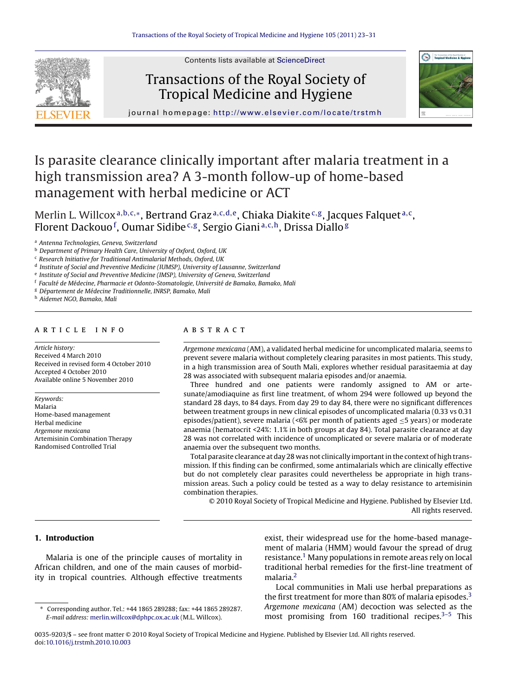

Contents lists available at [ScienceDirect](http://www.sciencedirect.com/science/journal/00359203)

# Transactions of the Royal Society of Tropical Medicine and Hygiene



journal homepage: <http://www.elsevier.com/locate/trstmh>

# Is parasite clearance clinically important after malaria treatment in a high transmission area? A 3-month follow-up of home-based management with herbal medicine or ACT

Merlin L. Willcox<sup>a,b,c,∗</sup>, Bertrand Graz<sup>a,c,d,e</sup>, Chiaka Diakite<sup>c,g</sup>, Jacques Falquet<sup>a,c</sup>, Florent Dackouo<sup>f</sup>, Oumar Sidibe<sup>c,g</sup>, Sergio Giani<sup>a,c,h</sup>, Drissa Diallo<sup>g</sup>

<sup>a</sup> Antenna Technologies, Geneva, Switzerland

<sup>b</sup> Department of Primary Health Care, University of Oxford, Oxford, UK

 $c$  Research Initiative for Traditional Antimalarial Methods, Oxford, UK

<sup>d</sup> Institute of Social and Preventive Medicine (IUMSP), University of Lausanne, Switzerland

<sup>e</sup> Institute of Social and Preventive Medicine (IMSP), University of Geneva, Switzerland

<sup>f</sup> Faculté de Médecine, Pharmacie et Odonto-Stomatologie, Université de Bamako, Bamako, Mali

<sup>g</sup> Département de Médecine Traditionnelle, INRSP, Bamako, Mali

<sup>h</sup> Aidemet NGO, Bamako, Mali

## article info

Article history: Received 4 March 2010 Received in revised form 4 October 2010 Accepted 4 October 2010 Available online 5 November 2010

Keywords: Malaria Home-based management Herbal medicine Argemone mexicana Artemisinin Combination Therapy Randomised Controlled Trial

# ABSTRACT

Argemone mexicana (AM), a validated herbal medicine for uncomplicated malaria, seems to prevent severe malaria without completely clearing parasites in most patients. This study, in a high transmission area of South Mali, explores whether residual parasitaemia at day 28 was associated with subsequent malaria episodes and/or anaemia.

Three hundred and one patients were randomly assigned to AM or artesunate/amodiaquine as first line treatment, of whom 294 were followed up beyond the standard 28 days, to 84 days. From day 29 to day 84, there were no significant differences between treatment groups in new clinical episodes of uncomplicated malaria (0.33 vs 0.31 episodes/patient), severe malaria (<6% per month of patients aged  $\leq$ 5 years) or moderate anaemia (hematocrit <24%: 1.1% in both groups at day 84). Total parasite clearance at day 28 was not correlated with incidence of uncomplicated or severe malaria or of moderate anaemia over the subsequent two months.

Total parasite clearance at day 28 was not clinically important in the context of high transmission. If this finding can be confirmed, some antimalarials which are clinically effective but do not completely clear parasites could nevertheless be appropriate in high transmission areas. Such a policy could be tested as a way to delay resistance to artemisinin combination therapies.

© 2010 Royal Society of Tropical Medicine and Hygiene. Published by Elsevier Ltd. All rights reserved.

#### **1. Introduction**

Malaria is one of the principle causes of mortality in African children, and one of the main causes of morbidity in tropical countries. Although effective treatments

exist, their widespread use for the home-based management of malaria (HMM) would favour the spread of drug resistance.<sup>1</sup> Many populations in remote areas rely on local traditional herbal remedies for the first-line treatment of malaria.[2](#page-8-0)

Local communities in Mali use herbal preparations as the first treatment for more than 80% of malaria episodes.<sup>3</sup> Argemone mexicana (AM) decoction was selected as the most promising from 160 traditional recipes. $3-5$  This

<sup>∗</sup> Corresponding author. Tel.: +44 1865 289288; fax: +44 1865 289287. E-mail address: [merlin.willcox@dphpc.ox.ac.uk](mailto:merlin.willcox@dphpc.ox.ac.uk) (M.L. Willcox).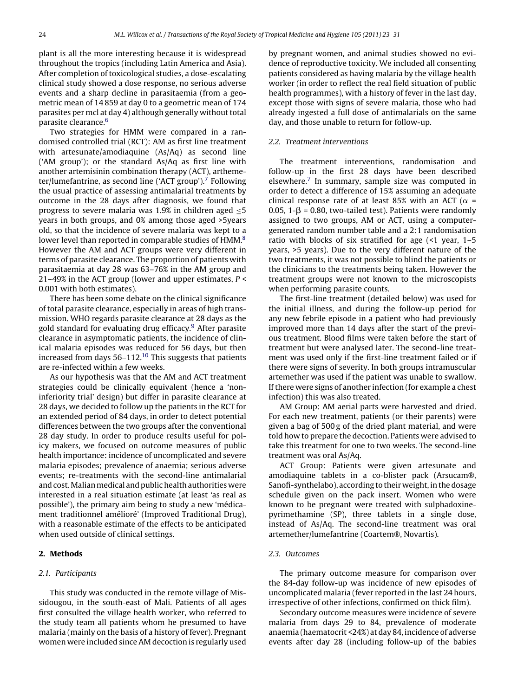plant is all the more interesting because it is widespread throughout the tropics (including Latin America and Asia). After completion of toxicological studies, a dose-escalating clinical study showed a dose response, no serious adverse events and a sharp decline in parasitaemia (from a geometric mean of 14 859 at day 0 to a geometric mean of 174 parasites per mcl at day 4) although generally without total parasite clearance[.6](#page-8-0)

Two strategies for HMM were compared in a randomised controlled trial (RCT): AM as first line treatment with artesunate/amodiaquine (As/Aq) as second line ('AM group'); or the standard As/Aq as first line with another artemisinin combination therapy (ACT), arthemeter/lumefantrine, as second line ('ACT group').<sup>7</sup> Following the usual practice of assessing antimalarial treatments by outcome in the 28 days after diagnosis, we found that progress to severe malaria was 1.9% in children aged  $\leq 5$ years in both groups, and 0% among those aged >5years old, so that the incidence of severe malaria was kept to a lower level than reported in comparable studies of HMM.<sup>8</sup> However the AM and ACT groups were very different in terms of parasite clearance. The proportion of patients with parasitaemia at day 28 was 63–76% in the AM group and 21–49% in the ACT group (lower and upper estimates,  $P \leq$ 0.001 with both estimates).

There has been some debate on the clinical significance of total parasite clearance, especially in areas of high transmission. WHO regards parasite clearance at 28 days as the gold standard for evaluating drug efficacy.[9](#page-8-0) After parasite clearance in asymptomatic patients, the incidence of clinical malaria episodes was reduced for 56 days, but then increased from days  $56-112$ .<sup>10</sup> This suggests that patients are re-infected within a few weeks.

As our hypothesis was that the AM and ACT treatment strategies could be clinically equivalent (hence a 'noninferiority trial' design) but differ in parasite clearance at 28 days, we decided to follow up the patients in the RCT for an extended period of 84 days, in order to detect potential differences between the two groups after the conventional 28 day study. In order to produce results useful for policy makers, we focused on outcome measures of public health importance: incidence of uncomplicated and severe malaria episodes; prevalence of anaemia; serious adverse events; re-treatments with the second-line antimalarial and cost. Malian medical and public health authorities were interested in a real situation estimate (at least 'as real as possible'), the primary aim being to study a new 'médicament traditionnel amélioré' (Improved Traditional Drug), with a reasonable estimate of the effects to be anticipated when used outside of clinical settings.

### **2. Methods**

#### 2.1. Participants

This study was conducted in the remote village of Missidougou, in the south-east of Mali. Patients of all ages first consulted the village health worker, who referred to the study team all patients whom he presumed to have malaria (mainly on the basis of a history of fever). Pregnant women were included since AM decoction is regularly used

by pregnant women, and animal studies showed no evidence of reproductive toxicity. We included all consenting patients considered as having malaria by the village health worker (in order to reflect the real field situation of public health programmes), with a history of fever in the last day, except those with signs of severe malaria, those who had already ingested a full dose of antimalarials on the same day, and those unable to return for follow-up.

#### 2.2. Treatment interventions

The treatment interventions, randomisation and follow-up in the first 28 days have been described elsewhere. $7$  In summary, sample size was computed in order to detect a difference of 15% assuming an adequate clinical response rate of at least 85% with an ACT ( $\alpha$  = 0.05,  $1-\beta$  = 0.80, two-tailed test). Patients were randomly assigned to two groups, AM or ACT, using a computergenerated random number table and a 2:1 randomisation ratio with blocks of six stratified for age  $($ 1 year, 1-5 years, >5 years). Due to the very different nature of the two treatments, it was not possible to blind the patients or the clinicians to the treatments being taken. However the treatment groups were not known to the microscopists when performing parasite counts.

The first-line treatment (detailed below) was used for the initial illness, and during the follow-up period for any new febrile episode in a patient who had previously improved more than 14 days after the start of the previous treatment. Blood films were taken before the start of treatment but were analysed later. The second-line treatment was used only if the first-line treatment failed or if there were signs of severity. In both groups intramuscular artemether was used if the patient was unable to swallow. If there were signs of another infection (for example a chest infection) this was also treated.

AM Group: AM aerial parts were harvested and dried. For each new treatment, patients (or their parents) were given a bag of 500 g of the dried plant material, and were told how to prepare the decoction. Patients were advised to take this treatment for one to two weeks. The second-line treatment was oral As/Aq.

ACT Group: Patients were given artesunate and amodiaquine tablets in a co-blister pack (Arsucam®, Sanofi-synthelabo), according to their weight, in the dosage schedule given on the pack insert. Women who were known to be pregnant were treated with sulphadoxinepyrimethamine (SP), three tablets in a single dose, instead of As/Aq. The second-line treatment was oral artemether/lumefantrine (Coartem®, Novartis).

#### 2.3. Outcomes

The primary outcome measure for comparison over the 84-day follow-up was incidence of new episodes of uncomplicated malaria (fever reported in the last 24 hours, irrespective of other infections, confirmed on thick film).

Secondary outcome measures were incidence of severe malaria from days 29 to 84, prevalence of moderate anaemia (haematocrit <24%) at day 84, incidence of adverse events after day 28 (including follow-up of the babies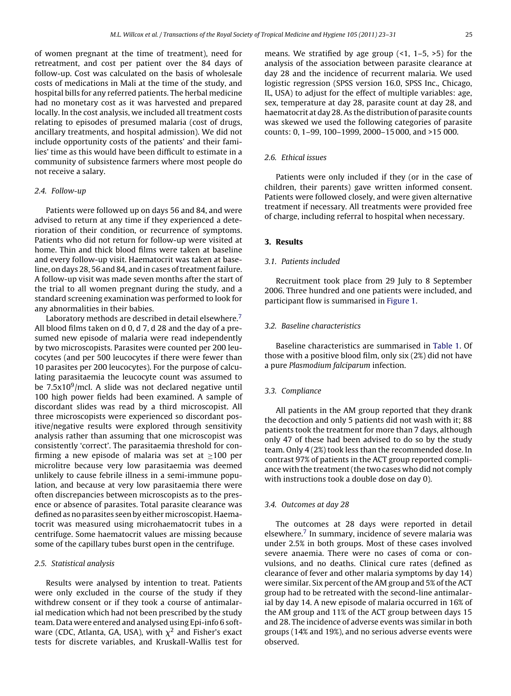of women pregnant at the time of treatment), need for retreatment, and cost per patient over the 84 days of follow-up. Cost was calculated on the basis of wholesale costs of medications in Mali at the time of the study, and hospital bills for any referred patients. The herbal medicine had no monetary cost as it was harvested and prepared locally. In the cost analysis, we included all treatment costs relating to episodes of presumed malaria (cost of drugs, ancillary treatments, and hospital admission). We did not include opportunity costs of the patients' and their families' time as this would have been difficult to estimate in a community of subsistence farmers where most people do not receive a salary.

## 2.4. Follow-up

Patients were followed up on days 56 and 84, and were advised to return at any time if they experienced a deterioration of their condition, or recurrence of symptoms. Patients who did not return for follow-up were visited at home. Thin and thick blood films were taken at baseline and every follow-up visit. Haematocrit was taken at baseline, on days 28, 56 and 84, and in cases of treatment failure. A follow-up visit was made seven months after the start of the trial to all women pregnant during the study, and a standard screening examination was performed to look for any abnormalities in their babies.

Laboratory methods are described in detail elsewhere.<sup>7</sup> All blood films taken on d 0, d 7, d 28 and the day of a presumed new episode of malaria were read independently by two microscopists. Parasites were counted per 200 leucocytes (and per 500 leucocytes if there were fewer than 10 parasites per 200 leucocytes). For the purpose of calculating parasitaemia the leucocyte count was assumed to be  $7.5x10<sup>9</sup>/mcl.$  A slide was not declared negative until 100 high power fields had been examined. A sample of discordant slides was read by a third microscopist. All three microscopists were experienced so discordant positive/negative results were explored through sensitivity analysis rather than assuming that one microscopist was consistently 'correct'. The parasitaemia threshold for confirming a new episode of malaria was set at  $\geq 100$  per microlitre because very low parasitaemia was deemed unlikely to cause febrile illness in a semi-immune population, and because at very low parasitaemia there were often discrepancies between microscopists as to the presence or absence of parasites. Total parasite clearance was defined as no parasites seen by either microscopist. Haematocrit was measured using microhaematocrit tubes in a centrifuge. Some haematocrit values are missing because some of the capillary tubes burst open in the centrifuge.

### 2.5. Statistical analysis

Results were analysed by intention to treat. Patients were only excluded in the course of the study if they withdrew consent or if they took a course of antimalarial medication which had not been prescribed by the study team. Data were entered and analysed using Epi-info 6 software (CDC, Atlanta, GA, USA), with  $\chi^2$  and Fisher's exact tests for discrete variables, and Kruskall-Wallis test for

means. We stratified by age group  $(1, 1-5, 5)$  for the analysis of the association between parasite clearance at day 28 and the incidence of recurrent malaria. We used logistic regression (SPSS version 16.0, SPSS Inc., Chicago, IL, USA) to adjust for the effect of multiple variables: age, sex, temperature at day 28, parasite count at day 28, and haematocrit at day 28. As the distribution of parasite counts was skewed we used the following categories of parasite counts: 0, 1–99, 100–1999, 2000–15 000, and >15 000.

## 2.6. Ethical issues

Patients were only included if they (or in the case of children, their parents) gave written informed consent. Patients were followed closely, and were given alternative treatment if necessary. All treatments were provided free of charge, including referral to hospital when necessary.

### **3. Results**

#### 3.1. Patients included

Recruitment took place from 29 July to 8 September 2006. Three hundred and one patients were included, and participant flow is summarised in [Figure 1.](#page-3-0)

#### 3.2. Baseline characteristics

Baseline characteristics are summarised in [Table 1.](#page-3-0) Of those with a positive blood film, only six (2%) did not have a pure Plasmodium falciparum infection.

#### 3.3. Compliance

All patients in the AM group reported that they drank the decoction and only 5 patients did not wash with it; 88 patients took the treatment for more than 7 days, although only 47 of these had been advised to do so by the study team. Only 4 (2%) took less than the recommended dose. In contrast 97% of patients in the ACT group reported compliance with the treatment (the two cases who did not comply with instructions took a double dose on day 0).

#### 3.4. Outcomes at day 28

The outcomes at 28 days were reported in detail elsewhere. $<sup>7</sup>$  In summary, incidence of severe malaria was</sup> under 2.5% in both groups. Most of these cases involved severe anaemia. There were no cases of coma or convulsions, and no deaths. Clinical cure rates (defined as clearance of fever and other malaria symptoms by day 14) were similar. Six percent of the AM group and 5% of the ACT group had to be retreated with the second-line antimalarial by day 14. A new episode of malaria occurred in 16% of the AM group and 11% of the ACT group between days 15 and 28. The incidence of adverse events was similar in both groups (14% and 19%), and no serious adverse events were observed.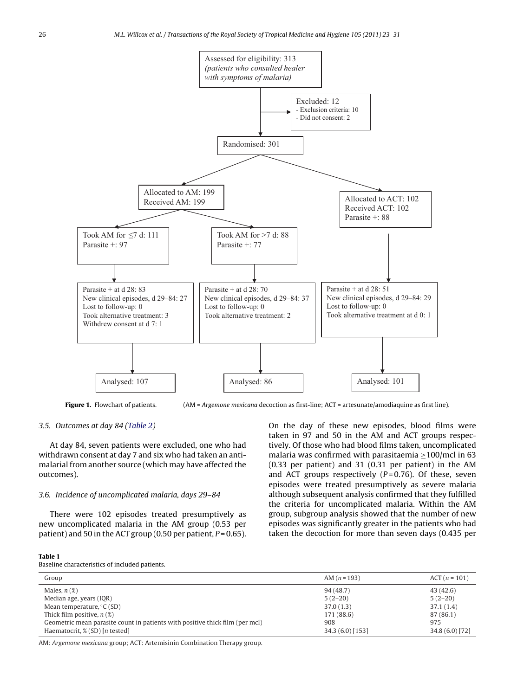<span id="page-3-0"></span>

Figure 1. Flowchart of patients. (AM = Argemone mexicana decoction as first-line; ACT = artesunate/amodiaquine as first line).

## 3.5. Outcomes at day 84 [\(Table 2\)](#page-4-0)

At day 84, seven patients were excluded, one who had withdrawn consent at day 7 and six who had taken an antimalarial from another source (which may have affected the outcomes).

# 3.6. Incidence of uncomplicated malaria, days 29–84

There were 102 episodes treated presumptively as new uncomplicated malaria in the AM group (0.53 per patient) and 50 in the ACT group (0.50 per patient,  $P = 0.65$ ).

On the day of these new episodes, blood films were taken in 97 and 50 in the AM and ACT groups respectively. Of those who had blood films taken, uncomplicated malaria was confirmed with parasitaemia  $\geq$ 100/mcl in 63 (0.33 per patient) and 31 (0.31 per patient) in the AM and ACT groups respectively  $(P=0.76)$ . Of these, seven episodes were treated presumptively as severe malaria although subsequent analysis confirmed that they fulfilled the criteria for uncomplicated malaria. Within the AM group, subgroup analysis showed that the number of new episodes was significantly greater in the patients who had taken the decoction for more than seven days (0.435 per

| Table 1                                        |
|------------------------------------------------|
| Baseline characteristics of included patients. |

| Group                                                                        | AM $(n = 193)$   | $ACT (n = 101)$ |
|------------------------------------------------------------------------------|------------------|-----------------|
| Males, $n(\%)$                                                               | 94 (48.7)        | 43(42.6)        |
| Median age, years (IQR)                                                      | $5(2-20)$        | $5(2-20)$       |
| Mean temperature, $\circ$ C (SD)                                             | 37.0(1.3)        | 37.1(1.4)       |
| Thick film positive, $n$ (%)                                                 | 171 (88.6)       | 87(86.1)        |
| Geometric mean parasite count in patients with positive thick film (per mcl) | 908              | 975             |
| Haematocrit, % (SD) [ <i>n</i> tested]                                       | 34.3 (6.0) [153] | 34.8(6.0)[72]   |
|                                                                              |                  |                 |

AM: Argemone mexicana group; ACT: Artemisinin Combination Therapy group.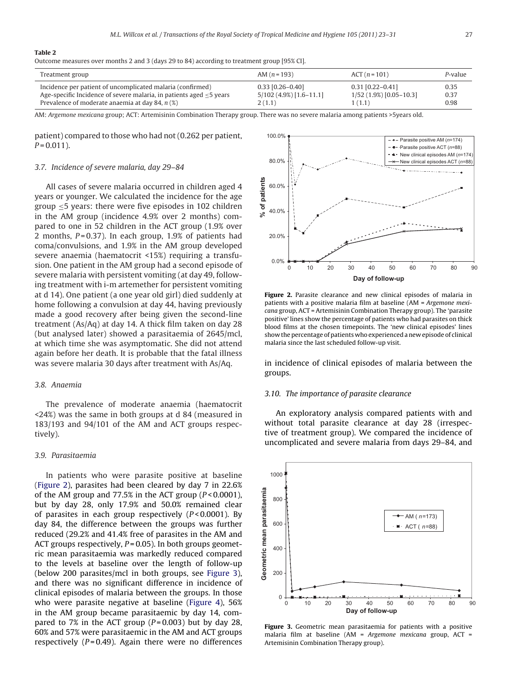#### <span id="page-4-0"></span>**Table 2**

| Outcome measures over months 2 and 3 (days 29 to 84) according to treatment group [95% CI]. |  |  |  |
|---------------------------------------------------------------------------------------------|--|--|--|
|---------------------------------------------------------------------------------------------|--|--|--|

| Treatment group                                                     | AM $(n=193)$             | $ACT (n = 101)$          | P-value |
|---------------------------------------------------------------------|--------------------------|--------------------------|---------|
| Incidence per patient of uncomplicated malaria (confirmed)          | $0.33$ [0.26-0.40]       | $0.31$ [0.22-0.41]       | 0.35    |
| Age-specific Incidence of severe malaria, in patients aged <5 years | $5/102(4.9%)$ [1.6-11.1] | $1/52(1.9\%)[0.05-10.3]$ | 0.37    |
| Prevalence of moderate anaemia at day 84, $n$ (%)                   | 2(1.1)                   | 1 (1.1)                  | 0.98    |

AM: Argemone mexicana group; ACT: Artemisinin Combination Therapy group. There was no severe malaria among patients >5years old.

patient) compared to those who had not (0.262 per patient,  $P = 0.011$ .

## 3.7. Incidence of severe malaria, day 29–84

All cases of severe malaria occurred in children aged 4 years or younger. We calculated the incidence for the age group ≤5 years: there were five episodes in 102 children in the AM group (incidence 4.9% over 2 months) compared to one in 52 children in the ACT group (1.9% over 2 months,  $P = 0.37$ ). In each group, 1.9% of patients had coma/convulsions, and 1.9% in the AM group developed severe anaemia (haematocrit <15%) requiring a transfusion. One patient in the AM group had a second episode of severe malaria with persistent vomiting (at day 49, following treatment with i-m artemether for persistent vomiting at d 14). One patient (a one year old girl) died suddenly at home following a convulsion at day 44, having previously made a good recovery after being given the second-line treatment (As/Aq) at day 14. A thick film taken on day 28 (but analysed later) showed a parasitaemia of 2645/mcl, at which time she was asymptomatic. She did not attend again before her death. It is probable that the fatal illness was severe malaria 30 days after treatment with As/Aq.

#### 3.8. Anaemia

The prevalence of moderate anaemia (haematocrit <24%) was the same in both groups at d 84 (measured in 183/193 and 94/101 of the AM and ACT groups respectively).

## 3.9. Parasitaemia

In patients who were parasite positive at baseline (Figure 2), parasites had been cleared by day 7 in 22.6% of the AM group and 77.5% in the ACT group  $(P < 0.0001)$ , but by day 28, only 17.9% and 50.0% remained clear of parasites in each group respectively  $(P < 0.0001)$ . By day 84, the difference between the groups was further reduced (29.2% and 41.4% free of parasites in the AM and ACT groups respectively,  $P = 0.05$ ). In both groups geometric mean parasitaemia was markedly reduced compared to the levels at baseline over the length of follow-up (below 200 parasites/mcl in both groups, see Figure 3), and there was no significant difference in incidence of clinical episodes of malaria between the groups. In those who were parasite negative at baseline ([Figure 4\),](#page-5-0) 56% in the AM group became parasitaemic by day 14, compared to 7% in the ACT group ( $P = 0.003$ ) but by day 28, 60% and 57% were parasitaemic in the AM and ACT groups respectively ( $P = 0.49$ ). Again there were no differences



**Figure 2.** Parasite clearance and new clinical episodes of malaria in patients with a positive malaria film at baseline (AM = Argemone mexicana group, ACT = Artemisinin Combination Therapy group). The 'parasite positive' lines show the percentage of patients who had parasites on thick blood films at the chosen timepoints. The 'new clinical episodes' lines show the percentage of patients who experienced a new episode of clinical malaria since the last scheduled follow-up visit.

in incidence of clinical episodes of malaria between the groups.

#### 3.10. The importance of parasite clearance

An exploratory analysis compared patients with and without total parasite clearance at day 28 (irrespective of treatment group). We compared the incidence of uncomplicated and severe malaria from days 29–84, and



**Figure 3.** Geometric mean parasitaemia for patients with a positive malaria film at baseline (AM = Argemone mexicana group, ACT = Artemisinin Combination Therapy group).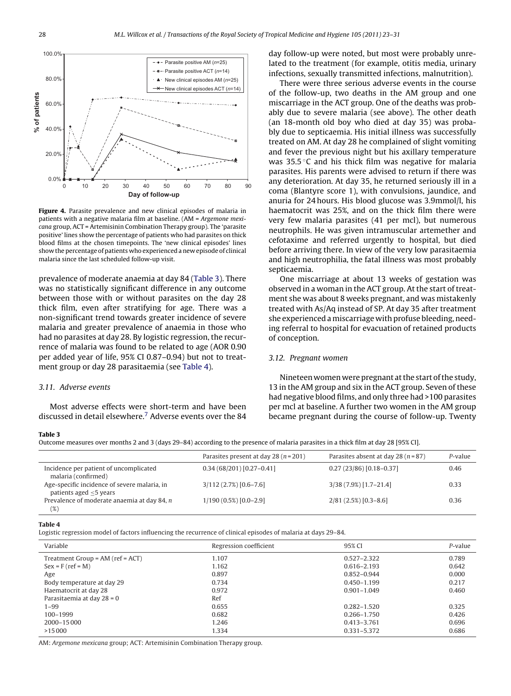<span id="page-5-0"></span>

**Figure 4.** Parasite prevalence and new clinical episodes of malaria in patients with a negative malaria film at baseline. (AM = Argemone mexicana group, ACT = Artemisinin Combination Therapy group). The 'parasite positive' lines show the percentage of patients who had parasites on thick blood films at the chosen timepoints. The 'new clinical episodes' lines show the percentage of patients who experienced a new episode of clinical malaria since the last scheduled follow-up visit.

prevalence of moderate anaemia at day 84 (Table 3). There was no statistically significant difference in any outcome between those with or without parasites on the day 28 thick film, even after stratifying for age. There was a non-significant trend towards greater incidence of severe malaria and greater prevalence of anaemia in those who had no parasites at day 28. By logistic regression, the recurrence of malaria was found to be related to age (AOR 0.90 per added year of life, 95% CI 0.87–0.94) but not to treatment group or day 28 parasitaemia (see Table 4).

#### 3.11. Adverse events

Most adverse effects were short-term and have been discussed in detail elsewhere[.7](#page-8-0) Adverse events over the 84

day follow-up were noted, but most were probably unrelated to the treatment (for example, otitis media, urinary infections, sexually transmitted infections, malnutrition).

There were three serious adverse events in the course of the follow-up, two deaths in the AM group and one miscarriage in the ACT group. One of the deaths was probably due to severe malaria (see above). The other death (an 18-month old boy who died at day 35) was probably due to septicaemia. His initial illness was successfully treated on AM. At day 28 he complained of slight vomiting and fever the previous night but his axillary temperature was 35.5 ℃ and his thick film was negative for malaria parasites. His parents were advised to return if there was any deterioration. At day 35, he returned seriously ill in a coma (Blantyre score 1), with convulsions, jaundice, and anuria for 24 hours. His blood glucose was 3.9mmol/l, his haematocrit was 25%, and on the thick film there were very few malaria parasites (41 per mcl), but numerous neutrophils. He was given intramuscular artemether and cefotaxime and referred urgently to hospital, but died before arriving there. In view of the very low parasitaemia and high neutrophilia, the fatal illness was most probably septicaemia.

One miscarriage at about 13 weeks of gestation was observed in a woman in the ACT group. At the start of treatment she was about 8 weeks pregnant, and was mistakenly treated with As/Aq instead of SP. At day 35 after treatment she experienced amiscarriage with profuse bleeding, needing referral to hospital for evacuation of retained products of conception.

#### 3.12. Pregnant women

Nineteen women were pregnant at the start of the study, 13 in the AM group and six in the ACT group. Seven of these had negative blood films, and only three had >100 parasites per mcl at baseline. A further two women in the AM group became pregnant during the course of follow-up. Twenty

#### **Table 3**

Outcome measures over months 2 and 3 (days 29–84) according to the presence of malaria parasites in a thick film at day 28 [95% CI].

|                                                                              | Parasites present at day 28 ( $n = 201$ ) | Parasites absent at day 28 $(n=87)$ | P-value |
|------------------------------------------------------------------------------|-------------------------------------------|-------------------------------------|---------|
| Incidence per patient of uncomplicated<br>malaria (confirmed)                | $0.34(68/201)[0.27-0.41]$                 | $0.27(23/86)[0.18-0.37]$            | 0.46    |
| Age-specific incidence of severe malaria, in<br>patients aged $\leq$ 5 years | $3/112$ (2.7%) [0.6-7.6]                  | $3/38(7.9%)$ [1.7-21.4]             | 0.33    |
| Prevalence of moderate anaemia at day 84, n<br>(%)                           | $1/190(0.5\%)[0.0-2.9]$                   | $2/81(2.5%)[0.3-8.6]$               | 0.36    |
|                                                                              |                                           |                                     |         |

#### **Table 4**

Logistic regression model of factors influencing the recurrence of clinical episodes of malaria at days 29–84.

| Variable                              | Regression coefficient | 95% CI          | $P$ -value |
|---------------------------------------|------------------------|-----------------|------------|
| Treatment Group = $AM$ (ref = $ACT$ ) | 1.107                  | $0.527 - 2.322$ | 0.789      |
| $Sex = F (ref = M)$                   | 1.162                  | $0.616 - 2.193$ | 0.642      |
| Age                                   | 0.897                  | $0.852 - 0.944$ | 0.000      |
| Body temperature at day 29            | 0.734                  | $0.450 - 1.199$ | 0.217      |
| Haematocrit at day 28                 | 0.972                  | $0.901 - 1.049$ | 0.460      |
| Parasitaemia at day $28 = 0$          | Ref                    |                 |            |
| $1 - 99$                              | 0.655                  | $0.282 - 1.520$ | 0.325      |
| 100-1999                              | 0.682                  | 0.266-1.750     | 0.426      |
| 2000-15000                            | 1.246                  | $0.413 - 3.761$ | 0.696      |
| >15000                                | 1.334                  | $0.331 - 5.372$ | 0.686      |

AM: Argemone mexicana group; ACT: Artemisinin Combination Therapy group.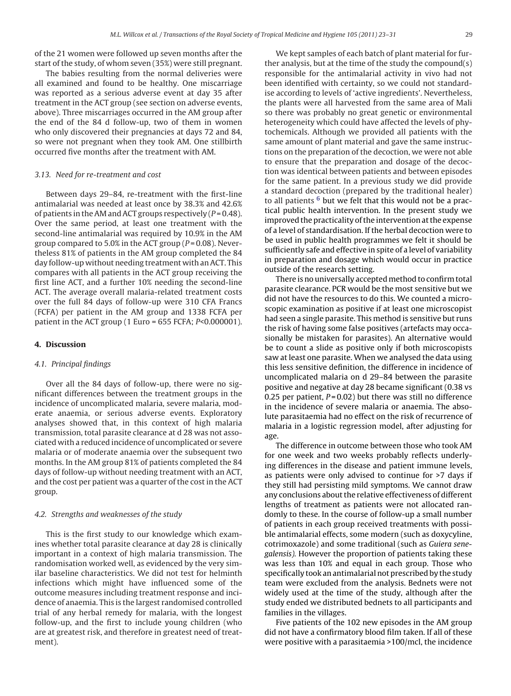of the 21 women were followed up seven months after the start of the study, of whom seven (35%) were still pregnant.

The babies resulting from the normal deliveries were all examined and found to be healthy. One miscarriage was reported as a serious adverse event at day 35 after treatment in the ACT group (see section on adverse events, above). Three miscarriages occurred in the AM group after the end of the 84 d follow-up, two of them in women who only discovered their pregnancies at days 72 and 84, so were not pregnant when they took AM. One stillbirth occurred five months after the treatment with AM.

#### 3.13. Need for re-treatment and cost

Between days 29–84, re-treatment with the first-line antimalarial was needed at least once by 38.3% and 42.6% of patients in the AM and ACT groups respectively  $(P = 0.48)$ . Over the same period, at least one treatment with the second-line antimalarial was required by 10.9% in the AM group compared to 5.0% in the ACT group ( $P = 0.08$ ). Nevertheless 81% of patients in the AM group completed the 84 day follow-up without needing treatment with an ACT. This compares with all patients in the ACT group receiving the first line ACT, and a further 10% needing the second-line ACT. The average overall malaria-related treatment costs over the full 84 days of follow-up were 310 CFA Francs (FCFA) per patient in the AM group and 1338 FCFA per patient in the ACT group (1 Euro = 655 FCFA;  $P$  < 0.000001).

#### **4. Discussion**

### 4.1. Principal findings

Over all the 84 days of follow-up, there were no significant differences between the treatment groups in the incidence of uncomplicated malaria, severe malaria, moderate anaemia, or serious adverse events. Exploratory analyses showed that, in this context of high malaria transmission, total parasite clearance at d 28 was not associated with a reduced incidence of uncomplicated or severe malaria or of moderate anaemia over the subsequent two months. In the AM group 81% of patients completed the 84 days of follow-up without needing treatment with an ACT, and the cost per patient was a quarter of the cost in the ACT group.

#### 4.2. Strengths and weaknesses of the study

This is the first study to our knowledge which examines whether total parasite clearance at day 28 is clinically important in a context of high malaria transmission. The randomisation worked well, as evidenced by the very similar baseline characteristics. We did not test for helminth infections which might have influenced some of the outcome measures including treatment response and incidence of anaemia. This is the largest randomised controlled trial of any herbal remedy for malaria, with the longest follow-up, and the first to include young children (who are at greatest risk, and therefore in greatest need of treatment).

We kept samples of each batch of plant material for further analysis, but at the time of the study the compound(s) responsible for the antimalarial activity in vivo had not been identified with certainty, so we could not standardise according to levels of 'active ingredients'. Nevertheless, the plants were all harvested from the same area of Mali so there was probably no great genetic or environmental heterogeneity which could have affected the levels of phytochemicals. Although we provided all patients with the same amount of plant material and gave the same instructions on the preparation of the decoction, we were not able to ensure that the preparation and dosage of the decoction was identical between patients and between episodes for the same patient. In a previous study we did provide a standard decoction (prepared by the traditional healer) to all patients  $6$  but we felt that this would not be a practical public health intervention. In the present study we improved the practicality of the intervention at the expense of a level of standardisation. If the herbal decoction were to be used in public health programmes we felt it should be sufficiently safe and effective in spite of a level of variability in preparation and dosage which would occur in practice outside of the research setting.

There is no universally accepted method to confirm total parasite clearance. PCR would be the most sensitive but we did not have the resources to do this. We counted a microscopic examination as positive if at least one microscopist had seen a single parasite. This method is sensitive but runs the risk of having some false positives (artefacts may occasionally be mistaken for parasites). An alternative would be to count a slide as positive only if both microscopists saw at least one parasite. When we analysed the data using this less sensitive definition, the difference in incidence of uncomplicated malaria on d 29–84 between the parasite positive and negative at day 28 became significant (0.38 vs 0.25 per patient,  $P = 0.02$ ) but there was still no difference in the incidence of severe malaria or anaemia. The absolute parasitaemia had no effect on the risk of recurrence of malaria in a logistic regression model, after adjusting for age.

The difference in outcome between those who took AM for one week and two weeks probably reflects underlying differences in the disease and patient immune levels, as patients were only advised to continue for >7 days if they still had persisting mild symptoms. We cannot draw any conclusions about the relative effectiveness of different lengths of treatment as patients were not allocated randomly to these. In the course of follow-up a small number of patients in each group received treatments with possible antimalarial effects, some modern (such as doxycyline, cotrimoxazole) and some traditional (such as Guiera senegalensis). However the proportion of patients taking these was less than 10% and equal in each group. Those who specifically took an antimalarial not prescribed by the study team were excluded from the analysis. Bednets were not widely used at the time of the study, although after the study ended we distributed bednets to all participants and families in the villages.

Five patients of the 102 new episodes in the AM group did not have a confirmatory blood film taken. If all of these were positive with a parasitaemia >100/mcl, the incidence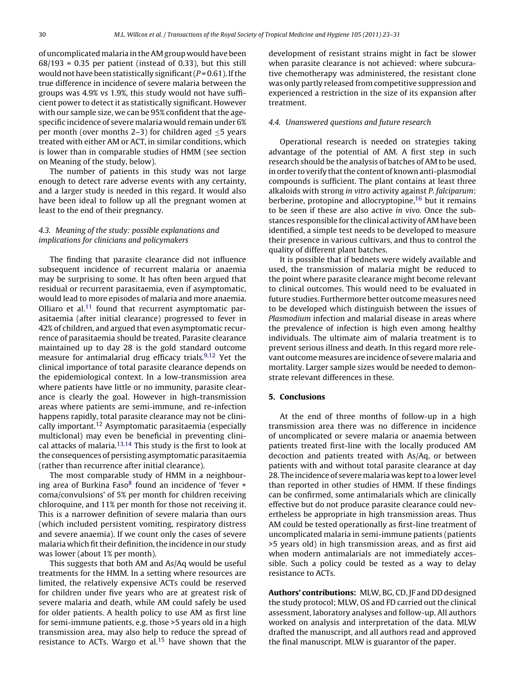of uncomplicatedmalaria in the AM group would have been  $68/193 = 0.35$  per patient (instead of 0.33), but this still would not have been statistically significant  $(P = 0.61)$ . If the true difference in incidence of severe malaria between the groups was 4.9% vs 1.9%, this study would not have sufficient power to detect it as statistically significant. However with our sample size, we can be 95% confident that the agespecific incidence of severe malaria would remain under 6% per month (over months 2–3) for children aged ≤5 years treated with either AM or ACT, in similar conditions, which is lower than in comparable studies of HMM (see section on Meaning of the study, below).

The number of patients in this study was not large enough to detect rare adverse events with any certainty, and a larger study is needed in this regard. It would also have been ideal to follow up all the pregnant women at least to the end of their pregnancy.

## 4.3. Meaning of the study: possible explanations and implications for clinicians and policymakers

The finding that parasite clearance did not influence subsequent incidence of recurrent malaria or anaemia may be surprising to some. It has often been argued that residual or recurrent parasitaemia, even if asymptomatic, would lead to more episodes of malaria and more anaemia. Olliaro et al. $11$  found that recurrent asymptomatic parasitaemia (after initial clearance) progressed to fever in 42% of children, and argued that even asymptomatic recurrence of parasitaemia should be treated. Parasite clearance maintained up to day 28 is the gold standard outcome measure for antimalarial drug efficacy trials.  $9,12$  Yet the clinical importance of total parasite clearance depends on the epidemiological context. In a low-transmission area where patients have little or no immunity, parasite clearance is clearly the goal. However in high-transmission areas where patients are semi-immune, and re-infection happens rapidly, total parasite clearance may not be clinically important[.12](#page-8-0) Asymptomatic parasitaemia (especially multiclonal) may even be beneficial in preventing clinical attacks of malaria. $13,14$  This study is the first to look at the consequences of persisting asymptomatic parasitaemia (rather than recurrence after initial clearance).

The most comparable study of HMM in a neighbouring area of Burkina Faso $8$  found an incidence of 'fever + coma/convulsions' of 5% per month for children receiving chloroquine, and 11% per month for those not receiving it. This is a narrower definition of severe malaria than ours (which included persistent vomiting, respiratory distress and severe anaemia). If we count only the cases of severe malaria which fit their definition, the incidence in our study was lower (about 1% per month).

This suggests that both AM and As/Aq would be useful treatments for the HMM. In a setting where resources are limited, the relatively expensive ACTs could be reserved for children under five years who are at greatest risk of severe malaria and death, while AM could safely be used for older patients. A health policy to use AM as first line for semi-immune patients, e.g. those >5 years old in a high transmission area, may also help to reduce the spread of resistance to ACTs. Wargo et al.<sup>15</sup> have shown that the

development of resistant strains might in fact be slower when parasite clearance is not achieved: where subcurative chemotherapy was administered, the resistant clone was only partly released from competitive suppression and experienced a restriction in the size of its expansion after treatment.

#### 4.4. Unanswered questions and future research

Operational research is needed on strategies taking advantage of the potential of AM. A first step in such research should be the analysis of batches of AM to be used, in order to verify that the content of known anti-plasmodial compounds is sufficient. The plant contains at least three alkaloids with strong in vitro activity against P. falciparum: berberine, protopine and allocryptopine,<sup>16</sup> but it remains to be seen if these are also active in vivo. Once the substances responsible for the clinical activity of AM have been identified, a simple test needs to be developed to measure their presence in various cultivars, and thus to control the quality of different plant batches.

It is possible that if bednets were widely available and used, the transmission of malaria might be reduced to the point where parasite clearance might become relevant to clinical outcomes. This would need to be evaluated in future studies. Furthermore better outcome measures need to be developed which distinguish between the issues of Plasmodium infection and malarial disease in areas where the prevalence of infection is high even among healthy individuals. The ultimate aim of malaria treatment is to prevent serious illness and death. In this regard more relevant outcome measures are incidence of severe malaria and mortality. Larger sample sizes would be needed to demonstrate relevant differences in these.

# **5. Conclusions**

At the end of three months of follow-up in a high transmission area there was no difference in incidence of uncomplicated or severe malaria or anaemia between patients treated first-line with the locally produced AM decoction and patients treated with As/Aq, or between patients with and without total parasite clearance at day 28. The incidence of severe malaria was kept to a lower level than reported in other studies of HMM. If these findings can be confirmed, some antimalarials which are clinically effective but do not produce parasite clearance could nevertheless be appropriate in high transmission areas. Thus AM could be tested operationally as first-line treatment of uncomplicated malaria in semi-immune patients (patients >5 years old) in high transmission areas, and as first aid when modern antimalarials are not immediately accessible. Such a policy could be tested as a way to delay resistance to ACTs.

**Authors' contributions:** MLW, BG, CD, JF and DD designed the study protocol; MLW, OS and FD carried out the clinical assessment, laboratory analyses and follow-up. All authors worked on analysis and interpretation of the data. MLW drafted the manuscript, and all authors read and approved the final manuscript. MLW is guarantor of the paper.